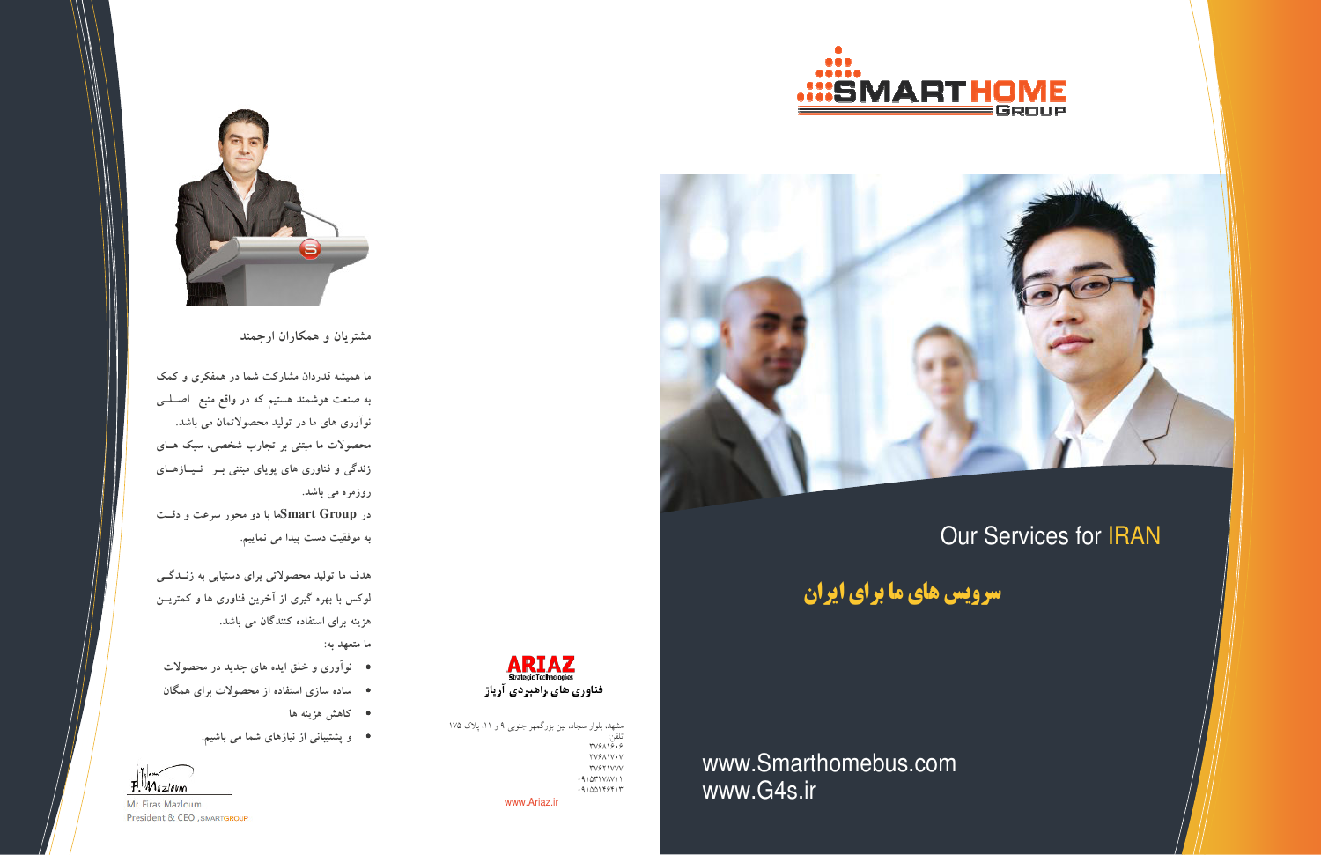



سرویس های ما برای ایران

www.Smarthomebus.com www.G4s.ir



مشهد، بلوار سجاد، بین بزرگمهر جنوبی ۹ و ۱۱، پلاک ۱۷۵<br>تلفن:<br>۳۷۶۸۱۶۰۶ **TVSAIV.V TVSTIVVV**  $.91011VAV11$  $.9100199917$ www.Ariaz.ir



مشتریان و همکاران ارجمند

ما همیشه قدردان مشارکت شما در همفکری و کمک به صنعت هوشمند هستیم که در واقع منبع ً اصــلــی نوآوری های ما در تولید محصولاتمان می باشد. محصولات ما مبتنی بر تجارب شخصی، سبک هـای زندگی و فناوری های پویای مبتنی بـر نـیـازهـای روزمرہ می باشد. در Smart Groupما با دو محور سرعت و دقــت

به موفقیت دست پیدا می نماییم.

هدف ما تولید محصولاتی برای دستیابی به زنــدگـــی لوکس با بهره گیری از آخرین فناوری ها و کمتریــن هزینه برای استفاده کنندگان می باشد.

ما متعهد به:

- نوآوری و خلق ایده های جدید در محصولات
- ساده سازی استفاده از محصولات برای همگان
	- کاهش هزینه ها
	- و پشتیبانی از نیازهای شما می باشیم.



Mr. Firas Mazloum President & CEO, SMARTGROUP



# **Our Services for IRAN**